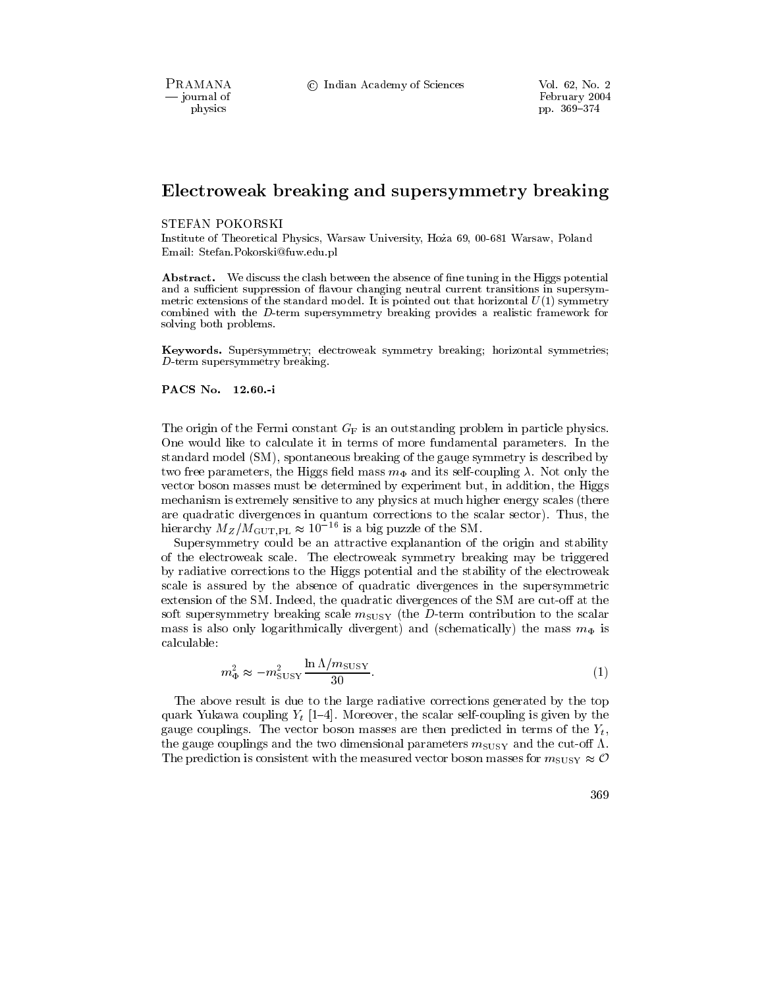PRAMANA - journal of physics

© Indian Academy of Sciences

# Electroweak breaking and supersymmetry breaking

### STEFAN POKORSKI

Institute of Theoretical Physics, Warsaw University, Hoża 69, 00-681 Warsaw, Poland Email: Stefan.Pokorski@fuw.edu.pl

**Abstract.** We discuss the clash between the absence of fine tuning in the Higgs potential and a sufficient suppression of flavour changing neutral current transitions in supersymmetric extensions of the standard model. It is pointed out that horizontal  $U(1)$  symmetry combined with the D-term supersymmetry breaking provides a realistic framework for solving both problems.

Keywords. Supersymmetry; electroweak symmetry breaking; horizontal symmetries;  $D$ -term supersymmetry breaking.

### PACS No. 12.60.-i

The origin of the Fermi constant  $G_F$  is an outstanding problem in particle physics. One would like to calculate it in terms of more fundamental parameters. In the standard model (SM), spontaneous breaking of the gauge symmetry is described by two free parameters, the Higgs field mass  $m_{\Phi}$  and its self-coupling  $\lambda$ . Not only the vector boson masses must be determined by experiment but, in addition, the Higgs mechanism is extremely sensitive to any physics at much higher energy scales (there are quadratic divergences in quantum corrections to the scalar sector). Thus, the hierarchy  $M_Z/M_{\text{GUT,PL}} \approx 10^{-16}$  is a big puzzle of the SM.

Supersymmetry could be an attractive explanantion of the origin and stability of the electroweak scale. The electroweak symmetry breaking may be triggered by radiative corrections to the Higgs potential and the stability of the electroweak scale is assured by the absence of quadratic divergences in the supersymmetric extension of the SM. Indeed, the quadratic divergences of the SM are cut-off at the soft supersymmetry breaking scale  $m_{\text{SUSY}}$  (the D-term contribution to the scalar mass is also only logarithmically divergent) and (schematically) the mass  $m_{\Phi}$  is calculable:

$$
m_{\Phi}^2 \approx -m_{\text{SUSY}}^2 \frac{\ln \Lambda / m_{\text{SUSY}}}{30}.\tag{1}
$$

The above result is due to the large radiative corrections generated by the top quark Yukawa coupling  $Y_t$  [1–4]. Moreover, the scalar self-coupling is given by the gauge couplings. The vector boson masses are then predicted in terms of the  $Y_t$ , the gauge couplings and the two dimensional parameters  $m_{\text{SUSY}}$  and the cut-off  $\Lambda$ . The prediction is consistent with the measured vector boson masses for  $m_{\text{SUSY}} \approx \mathcal{O}$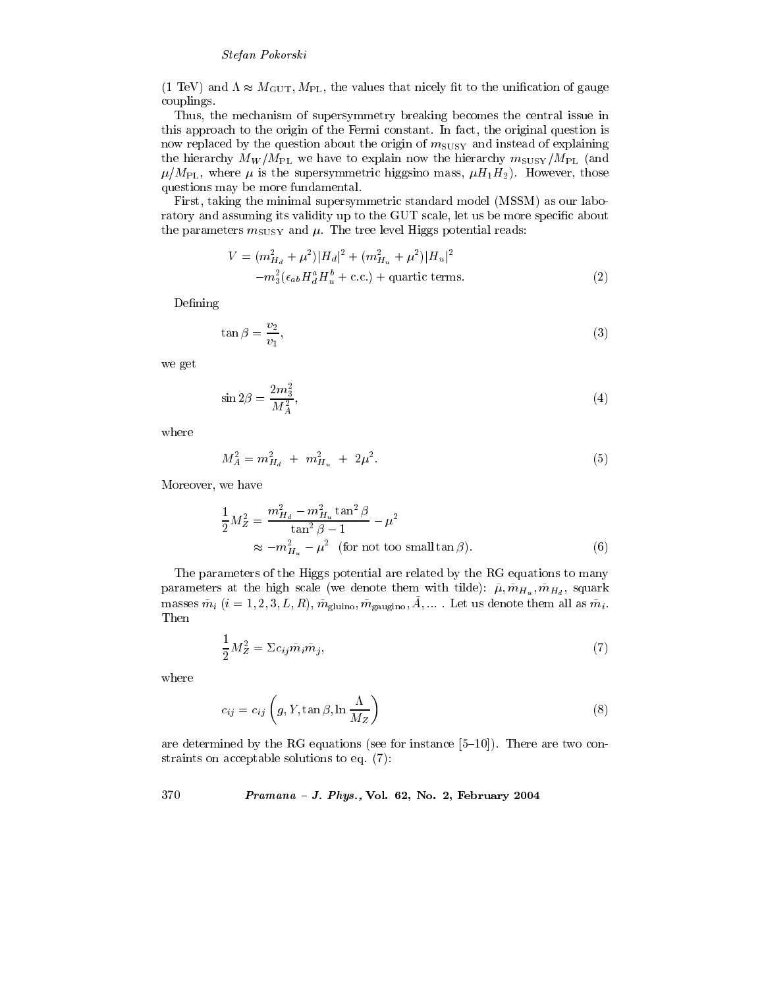### Stefan Pokorski

 $(1 \text{ TeV})$  and  $\Lambda \approx M_{\text{GUT}}$ ,  $M_{\text{PL}}$ , the values that nicely fit to the unification of gauge couplings.

Thus, the mechanism of supersymmetry breaking becomes the central issue in this approach to the origin of the Fermi constant. In fact, the original question is now replaced by the question about the origin of  $m_{\text{SUSY}}$  and instead of explaining the hierarchy  $M_W/M_{PL}$  we have to explain now the hierarchy  $m_{\text{SUSY}}/M_{PL}$  (and  $\mu/M_{\rm PL}$ , where  $\mu$  is the supersymmetric higgsino mass,  $\mu H_1 H_2$ ). However, those questions may be more fundamental.

First, taking the minimal supersymmetric standard model (MSSM) as our laboratory and assuming its validity up to the GUT scale, let us be more specific about the parameters  $m_{\text{SUSY}}$  and  $\mu$ . The tree level Higgs potential reads:

$$
V = (m_{H_d}^2 + \mu^2)|H_d|^2 + (m_{H_u}^2 + \mu^2)|H_u|^2
$$
  
- $m_3^2(\epsilon_{ab}H_d^aH_u^b + \text{c.c.}) + \text{quartic terms.}$  (2)

Defining

$$
\tan \beta = \frac{v_2}{v_1},\tag{3}
$$

we get

$$
\sin 2\beta = \frac{2m_3^2}{M_A^2},\tag{4}
$$

where

$$
M_A^2 = m_{H_d}^2 + m_{H_u}^2 + 2\mu^2. \tag{5}
$$

Moreover, we have

$$
\frac{1}{2}M_Z^2 = \frac{m_{H_d}^2 - m_{H_u}^2 \tan^2 \beta}{\tan^2 \beta - 1} - \mu^2
$$
  
 
$$
\approx -m_{H_u}^2 - \mu^2 \quad \text{(for not too small tan }\beta\text{)}.
$$
 (6)

The parameters of the Higgs potential are related by the RG equations to many parameters at the high scale (we denote them with tilde):  $\tilde{\mu}$ ,  $\tilde{m}_{H_u}$ ,  $\tilde{m}_{H_d}$ , squark masses  $\tilde{m}_i$   $(i = 1, 2, 3, L, R)$ ,  $\tilde{m}_{\text{gluino}}$ ,  $\tilde{m}_{\text{gaugino}}$ ,  $\tilde{A}$ , .... Let us denote them all as  $\tilde{m}_i$ . Then

$$
\frac{1}{2}M_Z^2 = \Sigma c_{ij}\tilde{m}_i\tilde{m}_j,\tag{7}
$$

where

$$
c_{ij} = c_{ij} \left( g, Y, \tan \beta, \ln \frac{\Lambda}{M_Z} \right)
$$
 (8)

are determined by the RG equations (see for instance  $[5-10]$ ). There are two constraints on acceptable solutions to eq.  $(7)$ :

### 370 Pramana - J. Phys., Vol. 62, No. 2, February 2004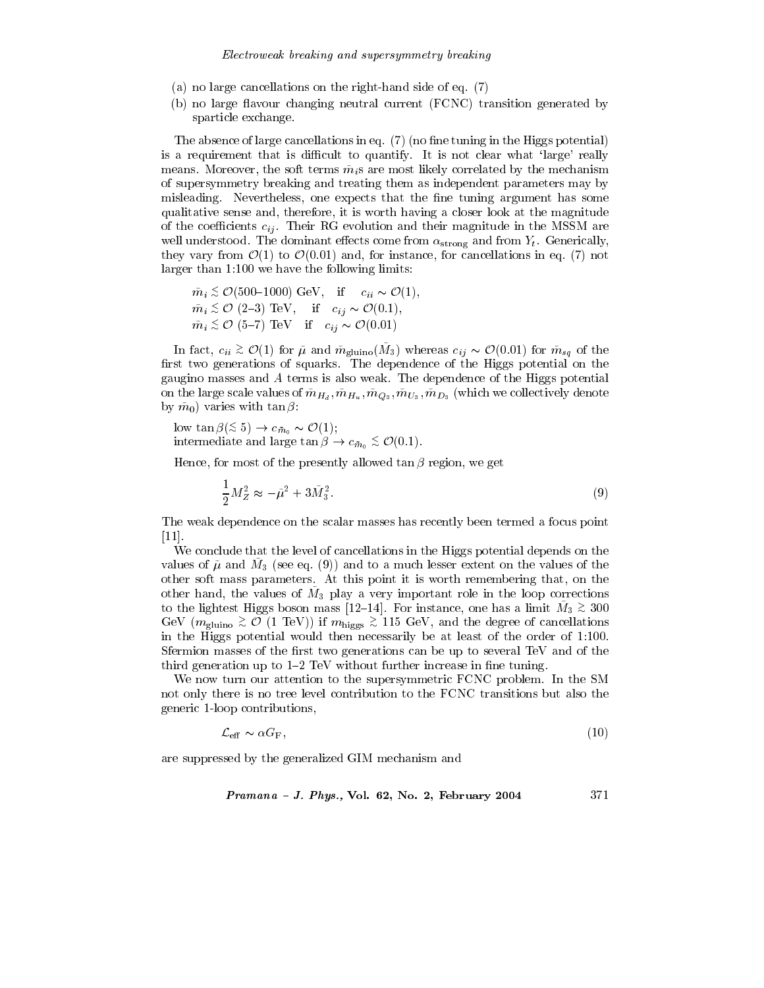- (a) no large cancellations on the right-hand side of eq.  $(7)$
- (b) no large flavour changing neutral current (FCNC) transition generated by sparticle exchange.

The absence of large cancellations in eq. (7) (no fine tuning in the Higgs potential) is a requirement that is difficult to quantify. It is not clear what 'large' really means. Moreover, the soft terms  $\tilde{m}_i$  are most likely correlated by the mechanism of supersymmetry breaking and treating them as independent parameters may by misleading. Nevertheless, one expects that the fine tuning argument has some qualitative sense and, therefore, it is worth having a closer look at the magnitude of the coefficients  $c_{ij}$ . Their RG evolution and their magnitude in the MSSM are well understood. The dominant effects come from  $\alpha_{\rm strong}$  and from  $Y_t$ . Generically, they vary from  $\mathcal{O}(1)$  to  $\mathcal{O}(0.01)$  and, for instance, for cancellations in eq. (7) not  $\alpha$  larger than 1:100 we have the following limits:

$$
\tilde{m}_i \stackrel{<}{_{\sim}} \mathcal{O}(500-1000) \text{ GeV}, \quad \text{if} \quad c_{ii} \sim \mathcal{O}(1),
$$
\n
$$
\tilde{m}_i \stackrel{<}{_{\sim}} \mathcal{O}(2-3) \text{ TeV}, \quad \text{if} \quad c_{ij} \sim \mathcal{O}(0.1),
$$
\n
$$
\tilde{m}_i \stackrel{<}{_{\sim}} \mathcal{O}(5-7) \text{ TeV} \quad \text{if} \quad c_{ij} \sim \mathcal{O}(0.01)
$$

In fact,  $c_{ii} \geq \mathcal{O}(1)$  for  $\tilde{\mu}$  and  $\tilde{m}_{\text{gluino}}(\tilde{M}_3)$  whereas  $c_{ij} \sim \mathcal{O}(0.01)$  for  $\tilde{m}_{sq}$  of the first two generations of squarks. The dependence of the Higgs potential on the gaugino masses and A terms is also weak. The dependence of the Higgs potential on the large scale values of  $\tilde{m}_{H_d}, \tilde{m}_{H_u}, \tilde{m}_{Q_3}, \tilde{m}_{U_3}, \tilde{m}_{D_3}$  (which we collectively denote by  $\tilde{m}_0$  varies with  $\tan \beta$ :

low  $\tan \beta (\leq 5) \rightarrow c_{\bar{m}_0} \sim \mathcal{O}(1);$ intermediate and large  $\tan \beta \to c_{\bar{m}_0} \stackrel{\text{\tiny<}}{_\text{\tiny\sim}} \mathcal{O}(0.1)$ .

Hence, for most of the presently allowed  $\tan \beta$  region, we get

$$
\frac{1}{2}M_Z^2 \approx -\tilde{\mu}^2 + 3\tilde{M}_3^2. \tag{9}
$$

The weak dependence on the scalar masses has recently been termed a focus point  $\left[11\right]$ .

We conclude that the level of cancellations in the Higgs potential depends on the values of  $\tilde{\mu}$  and  $M_3$  (see eq. (9)) and to a much lesser extent on the values of the other soft mass parameters. At this point it is worth remembering that, on the other hand, the values of  $M_3$  play a very important role in the loop corrections to the lightest Higgs boson mass [12-14]. For instance, one has a limit  $M_3 \gtrsim 300$ GeV ( $m_{\text{gluino}} \gtrsim \mathcal{O}$  (1 TeV)) if  $m_{\text{higgs}} \gtrsim 115 \text{ GeV}$ , and the degree of cancellations in the Higgs potential would then necessarily be at least of the order of 1:100. Sfermion masses of the first two generations can be up to several TeV and of the third generation up to  $1-2$  TeV without further increase in fine tuning.

We now turn our attention to the supersymmetric FCNC problem. In the SM not only there is no tree level contribution to the FCNC transitions but also the generic 1-loop contributions,

$$
\mathcal{L}_{\text{eff}} \sim \alpha G_{\text{F}},\tag{10}
$$

are suppressed by the generalized GIM mechanism and

$$
Pramana - J. Phys., Vol. 62, No. 2, February 2004 \qquad \qquad 371
$$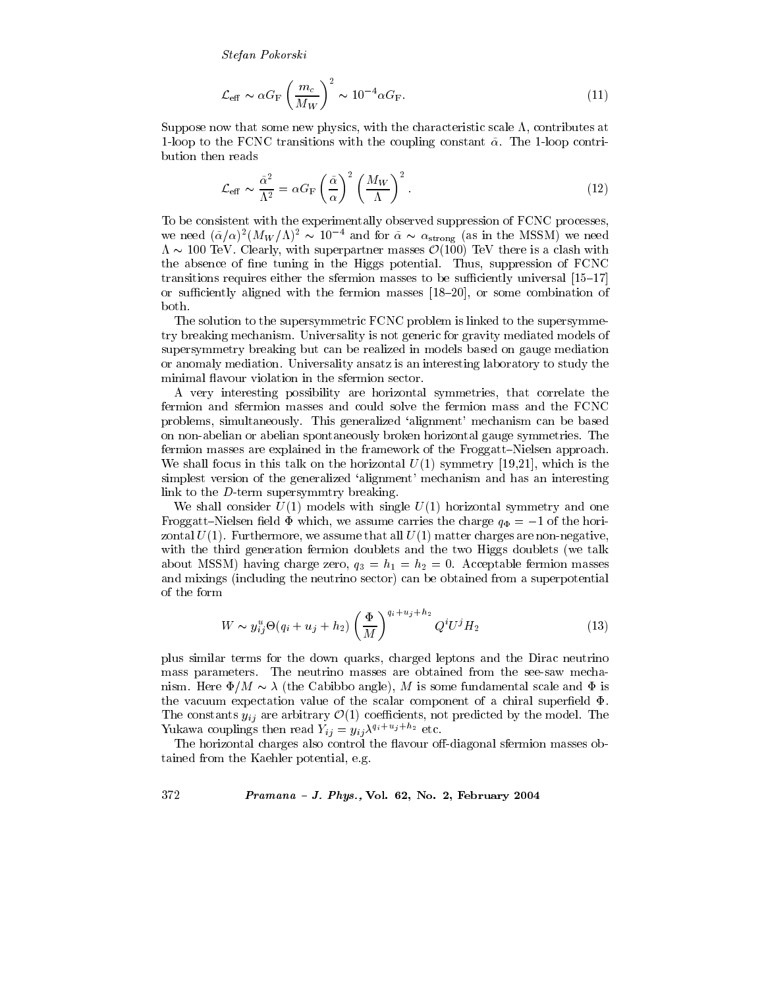Stefan Pokorski

$$
\mathcal{L}_{\text{eff}} \sim \alpha G_{\text{F}} \left(\frac{m_c}{M_W}\right)^2 \sim 10^{-4} \alpha G_{\text{F}}.\tag{11}
$$

Suppose now that some new physics, with the characteristic scale  $\Lambda$ , contributes at 1-loop to the FCNC transitions with the coupling constant  $\tilde{\alpha}$ . The 1-loop contribution then reads

$$
\mathcal{L}_{\text{eff}} \sim \frac{\tilde{\alpha}^2}{\Lambda^2} = \alpha G_{\text{F}} \left(\frac{\tilde{\alpha}}{\alpha}\right)^2 \left(\frac{M_W}{\Lambda}\right)^2.
$$
 (12)

To be consistent with the experimentally observed suppression of FCNC processes, we need  $(\tilde{\alpha}/\alpha)^2 (M_W/\Lambda)^2 \sim 10^{-4}$  and for  $\tilde{\alpha} \sim \alpha_{\text{strong}}$  (as in the MSSM) we need  $\Lambda \sim 100$  TeV. Clearly, with superpartner masses  $\mathcal{O}(100)$  TeV there is a clash with the absence of fine tuning in the Higgs potential. Thus, suppression of FCNC transitions requires either the sfermion masses to be sufficiently universal [15–17] or sufficiently aligned with the fermion masses  $[18-20]$ , or some combination of both.

The solution to the supersymmetric FCNC problem is linked to the supersymmetry breaking mechanism. Universality is not generic for gravity mediated models of supersymmetry breaking but can be realized in models based on gauge mediation or anomaly mediation. Universality ansatz is an interesting laboratory to study the minimal flavour violation in the sfermion sector.

A very interesting possibility are horizontal symmetries, that correlate the fermion and sfermion masses and could solve the fermion mass and the FCNC problems, simultaneously. This generalized 'alignment' mechanism can be based on non-abelian or abelian spontaneously broken horizontal gauge symmetries. The fermion masses are explained in the framework of the Froggatt–Nielsen approach. We shall focus in this talk on the horizontal  $U(1)$  symmetry [19,21], which is the simplest version of the generalized 'alignment' mechanism and has an interesting link to the  $D$ -term supersymmtry breaking.

We shall consider  $U(1)$  models with single  $U(1)$  horizontal symmetry and one Froggatt-Nielsen field  $\Phi$  which, we assume carries the charge  $q_{\Phi} = -1$  of the horizontal  $U(1)$ . Furthermore, we assume that all  $U(1)$  matter charges are non-negative, with the third generation fermion doublets and the two Higgs doublets (we talk about MSSM) having charge zero,  $q_3 = h_1 = h_2 = 0$ . Acceptable fermion masses and mixings (including the neutrino sector) can be obtained from a superpotential of the form

$$
W \sim y_{ij}^{u} \Theta(q_i + u_j + h_2) \left(\frac{\Phi}{M}\right)^{q_i + u_j + h_2} Q^{i} U^{j} H_2
$$
 (13)

plus similar terms for the down quarks, charged leptons and the Dirac neutrino mass parameters. The neutrino masses are obtained from the see-saw mechanism. Here  $\Phi/M \sim \lambda$  (the Cabibbo angle), M is some fundamental scale and  $\Phi$  is the vacuum expectation value of the scalar component of a chiral superfield  $\Phi$ . The constants  $y_{ij}$  are arbitrary  $\mathcal{O}(1)$  coefficients, not predicted by the model. The Yukawa couplings then read  $Y_{ij} = y_{ij} \lambda^{q_i + u_j + h_2}$  etc.

The horizontal charges also control the flavour off-diagonal sfermion masses obtained from the Kaehler potential, e.g.

### 372 Pramana - J. Phys., Vol. 62, No. 2, February 2004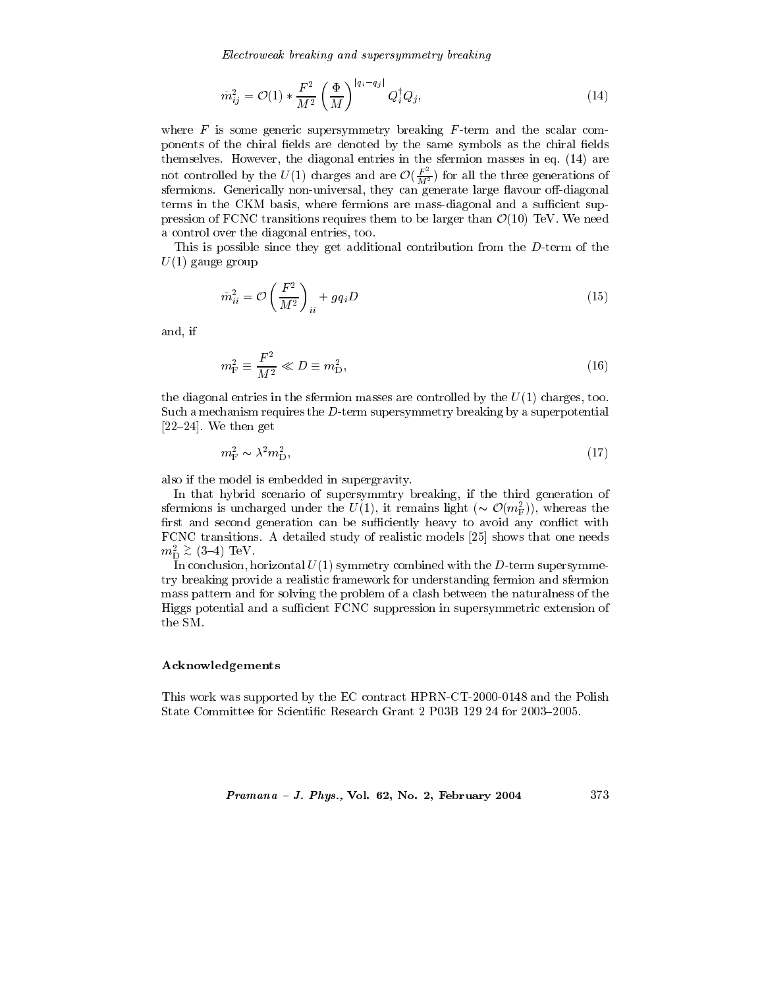Electroweak breaking and supersymmetry breaking

$$
\tilde{m}_{ij}^2 = \mathcal{O}(1) * \frac{F^2}{M^2} \left(\frac{\Phi}{M}\right)^{|q_i - q_j|} Q_i^{\dagger} Q_j, \tag{14}
$$

where  $F$  is some generic supersymmetry breaking  $F$ -term and the scalar components of the chiral fields are denoted by the same symbols as the chiral fields themselves. However, the diagonal entries in the sfermion masses in eq. (14) are not controlled by the  $U(1)$  charges and are  $\mathcal{O}(\frac{F^2}{M^2})$  for all the three generations of sfermions. Generically non-universal, they can generate large flavour off-diagonal terms in the CKM basis, where fermions are mass-diagonal and a sufficient suppression of FCNC transitions requires them to be larger than  $\mathcal{O}(10)$  TeV. We need a control over the diagonal entries, too.

This is possible since they get additional contribution from the D-term of the  $U(1)$  gauge group

$$
\tilde{m}_{ii}^2 = \mathcal{O}\left(\frac{F^2}{M^2}\right)_{ii} + gq_i D \tag{15}
$$

and, if

$$
m_{\rm F}^2 \equiv \frac{F^2}{M^2} \ll D \equiv m_{\rm D}^2,\tag{16}
$$

the diagonal entries in the sfermion masses are controlled by the  $U(1)$  charges, too. Such a mechanism requires the  $D$ -term supersymmetry breaking by a superpotential  $[22-24]$ . We then get

$$
m_{\rm F}^2 \sim \lambda^2 m_{\rm D}^2,\tag{17}
$$

also if the model is embedded in supergravity.

In that hybrid scenario of supersymmtry breaking, if the third generation of sfermions is uncharged under the  $U(1)$ , it remains light  $(\sim \mathcal{O}(m_F^2))$ , whereas the first and second generation can be sufficiently heavy to avoid any conflict with FCNC transitions. A detailed study of realistic models [25] shows that one needs  $m_{\rm D}^2 \stackrel{>}{_{\sim}}$  (3-4) TeV.

In conclusion, horizontal  $U(1)$  symmetry combined with the D-term supersymmetry breaking provide a realistic framework for understanding fermion and sfermion mass pattern and for solving the problem of a clash between the naturalness of the Higgs potential and a sufficient FCNC suppression in supersymmetric extension of the SM.

## Acknowledgements

This work was supported by the EC contract HPRN-CT-2000-0148 and the Polish State Committee for Scientific Research Grant 2 P03B 129 24 for 2003–2005.

#### Pramana - J. Phys., Vol. 62, No. 2, February 2004 373